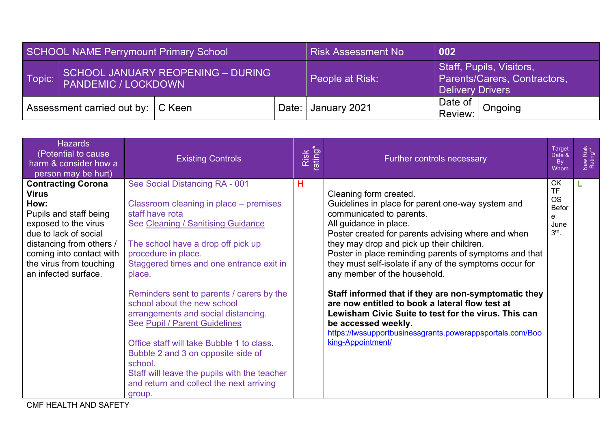| SCHOOL NAME Perrymount Primary School        |                                                                        |              | <b>Risk Assessment No</b> | 002             |                                                                              |  |
|----------------------------------------------|------------------------------------------------------------------------|--------------|---------------------------|-----------------|------------------------------------------------------------------------------|--|
| Topic:                                       | <b>SCHOOL JANUARY REOPENING - DURING</b><br><b>PANDEMIC / LOCKDOWN</b> |              |                           | People at Risk: | Staff, Pupils, Visitors,<br>Parents/Carers, Contractors,<br>Delivery Drivers |  |
| Assessment carried out by:   C Keen<br>Date: |                                                                        | January 2021 | Date of<br>Review:        | Ongoing         |                                                                              |  |

| <b>Hazards</b><br>(Potential to cause<br>harm & consider how a<br>person may be hurt)                                                                                                                                                   | <b>Existing Controls</b>                                                                                                                                                                                                                                                                                                                                                                                                                                                                                                                                                                                     | Risk<br>rating* | Further controls necessary                                                                                                                                                                                                                                                                                                                                                                                                                                                                                                                                                                                                                                            | <b>Target</b><br>Date &<br><b>By</b><br>Whom                                | New Risk<br>Rating** |
|-----------------------------------------------------------------------------------------------------------------------------------------------------------------------------------------------------------------------------------------|--------------------------------------------------------------------------------------------------------------------------------------------------------------------------------------------------------------------------------------------------------------------------------------------------------------------------------------------------------------------------------------------------------------------------------------------------------------------------------------------------------------------------------------------------------------------------------------------------------------|-----------------|-----------------------------------------------------------------------------------------------------------------------------------------------------------------------------------------------------------------------------------------------------------------------------------------------------------------------------------------------------------------------------------------------------------------------------------------------------------------------------------------------------------------------------------------------------------------------------------------------------------------------------------------------------------------------|-----------------------------------------------------------------------------|----------------------|
| <b>Contracting Corona</b><br><b>Virus</b><br>How:<br>Pupils and staff being<br>exposed to the virus<br>due to lack of social<br>distancing from others /<br>coming into contact with<br>the virus from touching<br>an infected surface. | See Social Distancing RA - 001<br>Classroom cleaning in place - premises<br>staff have rota<br>See Cleaning / Sanitising Guidance<br>The school have a drop off pick up<br>procedure in place.<br>Staggered times and one entrance exit in<br>place.<br>Reminders sent to parents / carers by the<br>school about the new school<br>arrangements and social distancing.<br>See Pupil / Parent Guidelines<br>Office staff will take Bubble 1 to class.<br>Bubble 2 and 3 on opposite side of<br>school.<br>Staff will leave the pupils with the teacher<br>and return and collect the next arriving<br>group. | н               | Cleaning form created.<br>Guidelines in place for parent one-way system and<br>communicated to parents.<br>All guidance in place.<br>Poster created for parents advising where and when<br>they may drop and pick up their children.<br>Poster in place reminding parents of symptoms and that<br>they must self-isolate if any of the symptoms occur for<br>any member of the household.<br>Staff informed that if they are non-symptomatic they<br>are now entitled to book a lateral flow test at<br>Lewisham Civic Suite to test for the virus. This can<br>be accessed weekly.<br>https://lwssupportbusinessgrants.powerappsportals.com/Boo<br>king-Appointment/ | <b>CK</b><br><b>TF</b><br><b>OS</b><br><b>Befor</b><br>e<br>June<br>$3rd$ . |                      |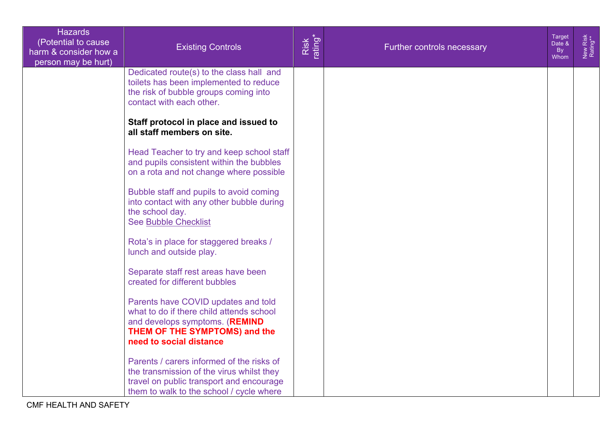| <b>Hazards</b><br>(Potential to cause<br>harm & consider how a<br>person may be hurt) | <b>Existing Controls</b>                                                                                                                                                       | Risk<br>ating* | Further controls necessary | <b>Target</b><br>Date &<br><b>By</b><br>Whom | New Risk<br>Rating** |
|---------------------------------------------------------------------------------------|--------------------------------------------------------------------------------------------------------------------------------------------------------------------------------|----------------|----------------------------|----------------------------------------------|----------------------|
|                                                                                       | Dedicated route(s) to the class hall and<br>toilets has been implemented to reduce<br>the risk of bubble groups coming into<br>contact with each other.                        |                |                            |                                              |                      |
|                                                                                       | Staff protocol in place and issued to<br>all staff members on site.                                                                                                            |                |                            |                                              |                      |
|                                                                                       | Head Teacher to try and keep school staff<br>and pupils consistent within the bubbles<br>on a rota and not change where possible                                               |                |                            |                                              |                      |
|                                                                                       | Bubble staff and pupils to avoid coming<br>into contact with any other bubble during<br>the school day.<br><b>See Bubble Checklist</b>                                         |                |                            |                                              |                      |
|                                                                                       | Rota's in place for staggered breaks /<br>lunch and outside play.                                                                                                              |                |                            |                                              |                      |
|                                                                                       | Separate staff rest areas have been<br>created for different bubbles                                                                                                           |                |                            |                                              |                      |
|                                                                                       | Parents have COVID updates and told<br>what to do if there child attends school<br>and develops symptoms. (REMIND<br>THEM OF THE SYMPTOMS) and the<br>need to social distance  |                |                            |                                              |                      |
|                                                                                       | Parents / carers informed of the risks of<br>the transmission of the virus whilst they<br>travel on public transport and encourage<br>them to walk to the school / cycle where |                |                            |                                              |                      |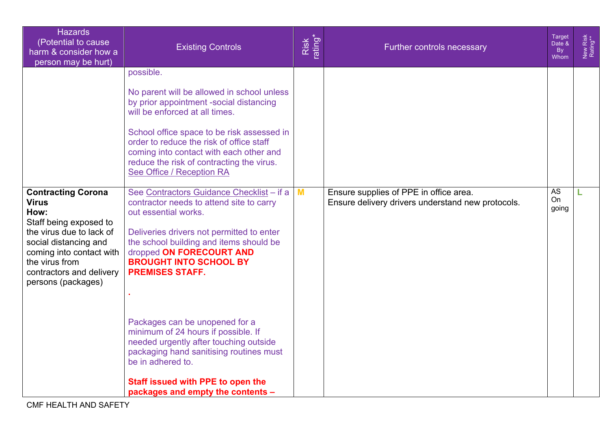| <b>Hazards</b><br>(Potential to cause<br>harm & consider how a<br>person may be hurt)                                                                                                               | <b>Existing Controls</b>                                                                                                                                                                                                                                                                                                                                                                                                                                                                                            | Risk<br>ating* | Further controls necessary                        | <b>Target</b><br>Date &<br><b>By</b><br>Whom | New Risk<br>Rating** |
|-----------------------------------------------------------------------------------------------------------------------------------------------------------------------------------------------------|---------------------------------------------------------------------------------------------------------------------------------------------------------------------------------------------------------------------------------------------------------------------------------------------------------------------------------------------------------------------------------------------------------------------------------------------------------------------------------------------------------------------|----------------|---------------------------------------------------|----------------------------------------------|----------------------|
| <b>Contracting Corona</b>                                                                                                                                                                           | possible.<br>No parent will be allowed in school unless<br>by prior appointment -social distancing<br>will be enforced at all times.<br>School office space to be risk assessed in<br>order to reduce the risk of office staff<br>coming into contact with each other and<br>reduce the risk of contracting the virus.<br>See Office / Reception RA<br>See Contractors Guidance Checklist - if a                                                                                                                    | M              | Ensure supplies of PPE in office area.            | <b>AS</b>                                    | L                    |
| <b>Virus</b><br>How:<br>Staff being exposed to<br>the virus due to lack of<br>social distancing and<br>coming into contact with<br>the virus from<br>contractors and delivery<br>persons (packages) | contractor needs to attend site to carry<br>out essential works.<br>Deliveries drivers not permitted to enter<br>the school building and items should be<br>dropped ON FORECOURT AND<br><b>BROUGHT INTO SCHOOL BY</b><br><b>PREMISES STAFF.</b><br>Packages can be unopened for a<br>minimum of 24 hours if possible. If<br>needed urgently after touching outside<br>packaging hand sanitising routines must<br>be in adhered to.<br><b>Staff issued with PPE to open the</b><br>packages and empty the contents - |                | Ensure delivery drivers understand new protocols. | On<br>going                                  |                      |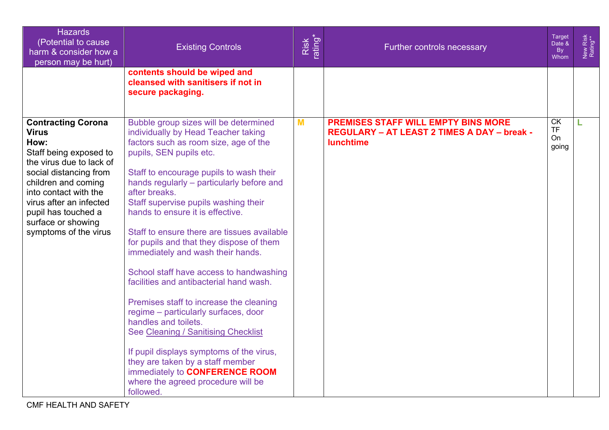| <b>Hazards</b><br>(Potential to cause<br>harm & consider how a<br>person may be hurt)                                                                                                                                                                                              | <b>Existing Controls</b>                                                                                                                                                                                                                                                                                                                                                                                                                                                                                                                                                                                                                                                                                                                                                                                                                                                           | Risk<br>rating* | Further controls necessary                                                                                           | <b>Target</b><br>Date &<br>By<br>Whom | New Risk<br>Rating** |
|------------------------------------------------------------------------------------------------------------------------------------------------------------------------------------------------------------------------------------------------------------------------------------|------------------------------------------------------------------------------------------------------------------------------------------------------------------------------------------------------------------------------------------------------------------------------------------------------------------------------------------------------------------------------------------------------------------------------------------------------------------------------------------------------------------------------------------------------------------------------------------------------------------------------------------------------------------------------------------------------------------------------------------------------------------------------------------------------------------------------------------------------------------------------------|-----------------|----------------------------------------------------------------------------------------------------------------------|---------------------------------------|----------------------|
|                                                                                                                                                                                                                                                                                    | contents should be wiped and<br>cleansed with sanitisers if not in<br>secure packaging.                                                                                                                                                                                                                                                                                                                                                                                                                                                                                                                                                                                                                                                                                                                                                                                            |                 |                                                                                                                      |                                       |                      |
| <b>Contracting Corona</b><br><b>Virus</b><br>How:<br>Staff being exposed to<br>the virus due to lack of<br>social distancing from<br>children and coming<br>into contact with the<br>virus after an infected<br>pupil has touched a<br>surface or showing<br>symptoms of the virus | Bubble group sizes will be determined<br>individually by Head Teacher taking<br>factors such as room size, age of the<br>pupils, SEN pupils etc.<br>Staff to encourage pupils to wash their<br>hands regularly - particularly before and<br>after breaks.<br>Staff supervise pupils washing their<br>hands to ensure it is effective.<br>Staff to ensure there are tissues available<br>for pupils and that they dispose of them<br>immediately and wash their hands.<br>School staff have access to handwashing<br>facilities and antibacterial hand wash.<br>Premises staff to increase the cleaning<br>regime - particularly surfaces, door<br>handles and toilets.<br>See Cleaning / Sanitising Checklist<br>If pupil displays symptoms of the virus,<br>they are taken by a staff member<br>immediately to CONFERENCE ROOM<br>where the agreed procedure will be<br>followed. | M               | <b>PREMISES STAFF WILL EMPTY BINS MORE</b><br><b>REGULARY - AT LEAST 2 TIMES A DAY - break -</b><br><b>lunchtime</b> | <b>CK</b><br><b>TF</b><br>On<br>going | L                    |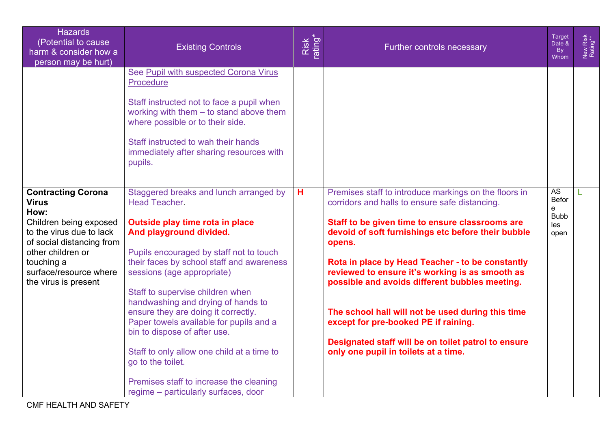| <b>Hazards</b><br>(Potential to cause<br>harm & consider how a<br>person may be hurt)                                                                                                                                     | <b>Existing Controls</b>                                                                                                                                                                                                                                                                                                                                                                                                                                                                                                                                                                            | Risk<br>rating* | Further controls necessary                                                                                                                                                                                                                                                                                                                                                                                                                                                                                                                                                      | <b>Target</b><br>Date &<br><b>By</b><br>Whom                 | New Risk<br>Rating** |
|---------------------------------------------------------------------------------------------------------------------------------------------------------------------------------------------------------------------------|-----------------------------------------------------------------------------------------------------------------------------------------------------------------------------------------------------------------------------------------------------------------------------------------------------------------------------------------------------------------------------------------------------------------------------------------------------------------------------------------------------------------------------------------------------------------------------------------------------|-----------------|---------------------------------------------------------------------------------------------------------------------------------------------------------------------------------------------------------------------------------------------------------------------------------------------------------------------------------------------------------------------------------------------------------------------------------------------------------------------------------------------------------------------------------------------------------------------------------|--------------------------------------------------------------|----------------------|
|                                                                                                                                                                                                                           | See Pupil with suspected Corona Virus<br>Procedure<br>Staff instructed not to face a pupil when<br>working with them $-$ to stand above them<br>where possible or to their side.<br>Staff instructed to wah their hands<br>immediately after sharing resources with<br>pupils.                                                                                                                                                                                                                                                                                                                      |                 |                                                                                                                                                                                                                                                                                                                                                                                                                                                                                                                                                                                 |                                                              |                      |
| <b>Contracting Corona</b><br><b>Virus</b><br>How:<br>Children being exposed<br>to the virus due to lack<br>of social distancing from<br>other children or<br>touching a<br>surface/resource where<br>the virus is present | Staggered breaks and lunch arranged by<br><b>Head Teacher</b><br>Outside play time rota in place<br>And playground divided.<br>Pupils encouraged by staff not to touch<br>their faces by school staff and awareness<br>sessions (age appropriate)<br>Staff to supervise children when<br>handwashing and drying of hands to<br>ensure they are doing it correctly.<br>Paper towels available for pupils and a<br>bin to dispose of after use.<br>Staff to only allow one child at a time to<br>go to the toilet.<br>Premises staff to increase the cleaning<br>regime – particularly surfaces, door | н               | Premises staff to introduce markings on the floors in<br>corridors and halls to ensure safe distancing.<br>Staff to be given time to ensure classrooms are<br>devoid of soft furnishings etc before their bubble<br>opens.<br>Rota in place by Head Teacher - to be constantly<br>reviewed to ensure it's working is as smooth as<br>possible and avoids different bubbles meeting.<br>The school hall will not be used during this time<br>except for pre-booked PE if raining.<br>Designated staff will be on toilet patrol to ensure<br>only one pupil in toilets at a time. | <b>AS</b><br><b>Befor</b><br>e<br><b>Bubb</b><br>les<br>open |                      |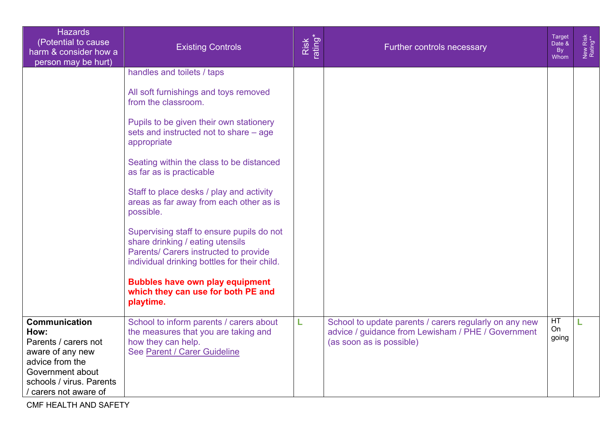| <b>Hazards</b><br>(Potential to cause)<br>harm & consider how a<br>person may be hurt)                                                                               | <b>Existing Controls</b>                                                                                                                                               | Risk<br>rating* | Further controls necessary                                                                                                               | Target<br>Date &<br><b>By</b><br>Whom | New Risk<br>Rating** |
|----------------------------------------------------------------------------------------------------------------------------------------------------------------------|------------------------------------------------------------------------------------------------------------------------------------------------------------------------|-----------------|------------------------------------------------------------------------------------------------------------------------------------------|---------------------------------------|----------------------|
|                                                                                                                                                                      | handles and toilets / taps                                                                                                                                             |                 |                                                                                                                                          |                                       |                      |
|                                                                                                                                                                      | All soft furnishings and toys removed<br>from the classroom.                                                                                                           |                 |                                                                                                                                          |                                       |                      |
|                                                                                                                                                                      | Pupils to be given their own stationery<br>sets and instructed not to share - age<br>appropriate                                                                       |                 |                                                                                                                                          |                                       |                      |
|                                                                                                                                                                      | Seating within the class to be distanced<br>as far as is practicable                                                                                                   |                 |                                                                                                                                          |                                       |                      |
|                                                                                                                                                                      | Staff to place desks / play and activity<br>areas as far away from each other as is<br>possible.                                                                       |                 |                                                                                                                                          |                                       |                      |
|                                                                                                                                                                      | Supervising staff to ensure pupils do not<br>share drinking / eating utensils<br>Parents/ Carers instructed to provide<br>individual drinking bottles for their child. |                 |                                                                                                                                          |                                       |                      |
|                                                                                                                                                                      | <b>Bubbles have own play equipment</b><br>which they can use for both PE and<br>playtime.                                                                              |                 |                                                                                                                                          |                                       |                      |
| <b>Communication</b><br>How:<br>Parents / carers not<br>aware of any new<br>advice from the<br>Government about<br>schools / virus. Parents<br>/ carers not aware of | School to inform parents / carers about<br>the measures that you are taking and<br>how they can help.<br>See Parent / Carer Guideline                                  | Г               | School to update parents / carers regularly on any new<br>advice / guidance from Lewisham / PHE / Government<br>(as soon as is possible) | HT<br>On<br>going                     |                      |

CMF HEALTH AND SAFETY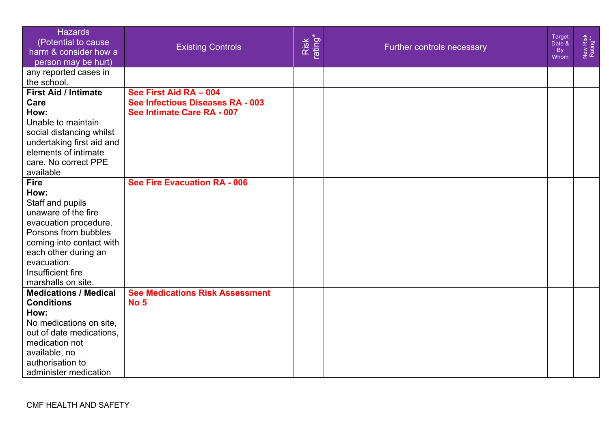| <b>Hazards</b><br>(Potential to cause<br>harm & consider how a<br>person may be hurt)                                                                                                                                         | <b>Existing Controls</b>                                                                 | Risk<br>rating* | Further controls necessary | Target<br>Date &<br><b>By</b><br>Whom | New Risk<br>Rating** |
|-------------------------------------------------------------------------------------------------------------------------------------------------------------------------------------------------------------------------------|------------------------------------------------------------------------------------------|-----------------|----------------------------|---------------------------------------|----------------------|
| any reported cases in<br>the school.                                                                                                                                                                                          |                                                                                          |                 |                            |                                       |                      |
| <b>First Aid / Intimate</b><br>Care<br>How:<br>Unable to maintain<br>social distancing whilst<br>undertaking first aid and<br>elements of intimate<br>care. No correct PPE<br>available                                       | See First Aid RA - 004<br>See Infectious Diseases RA - 003<br>See Intimate Care RA - 007 |                 |                            |                                       |                      |
| <b>Fire</b><br>How:<br>Staff and pupils<br>unaware of the fire<br>evacuation procedure.<br>Porsons from bubbles<br>coming into contact with<br>each other during an<br>evacuation.<br>Insufficient fire<br>marshalls on site. | <b>See Fire Evacuation RA - 006</b>                                                      |                 |                            |                                       |                      |
| <b>Medications / Medical</b><br><b>Conditions</b><br>How:<br>No medications on site,<br>out of date medications,<br>medication not<br>available, no<br>authorisation to<br>administer medication                              | <b>See Medications Risk Assessment</b><br><b>No 5</b>                                    |                 |                            |                                       |                      |